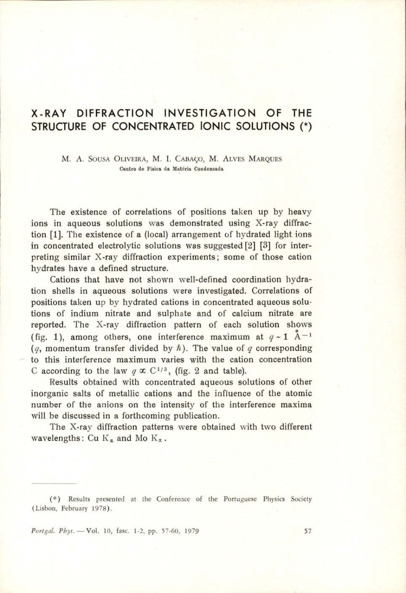## X-RAY DIFFRACTION INVESTIGATION OF THE STRUCTURE OF CONCENTRATED IONIC SOLUTIONS (\*)

M. A. SousA OLIVEIRA, M. I. CaBAGo, M. ALVES MARQUES Centro de Fisica da Matéria Condensada

The existence of correlations of positions taken up by heavy ions in aqueous solutions was demonstrated using X-ray diffraction [1]. The existence of a (local) arrangement of hydrated light ions in concentrated electrolytic solutions was suggested [2] [3] for interpreting similar X-ray diffraction experiments; some of those cation hydrates have a defined structure.

Cations that have not shown well-defined coordination hydration shells in aqueous solutions were investigated. Correlations of positions taken up by hydrated cations in concentrated aqueous solutions of indium nitrate and sulphate and of calcium nitrate are reported. The X-ray diffraction pattern of each solution shows (fig. 1), among others, one interference maximum at  $q \sim 1$   $\mathring{A}^{-1}$ (q, momentum transfer divided by  $\hbar$ ). The value of q corresponding to this interference maximum varies with the cation concentration C according to the law  $q \propto C^{1/3}$ , (fig. 2 and table).

Results obtained with concentrated aqueous solutions of other inorganic salts of metallic cations and the influence of the atomic number of the anions on the intensity of the interference maxima will be discussed in a forthcoming publication.

The X-ray diffraction patterns were obtained with two different wavelengths: Cu  $K_a$  and Mo  $K_a$ .

Portgal. Phys. - Vol. 10, fasc. 1-2, pp. 57-60, 1979 57

<sup>(\*)</sup> Results presented at the Conference of the Portuguese Physics Society (Lisbon, February 1978).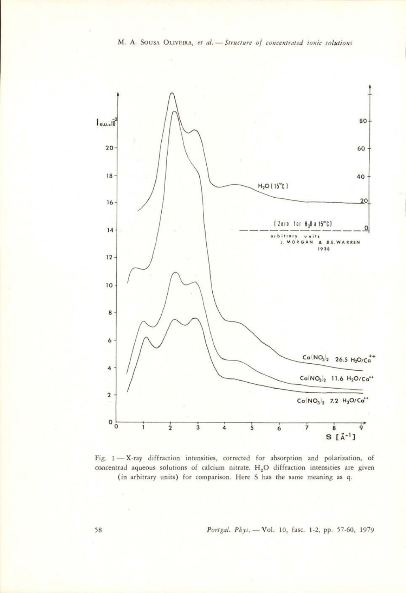

Fig. 1— X-ray diffraction intensities, corrected for absorption and polarization, of concentrad aqueous solutions of calcium nitrate.  $H_2O$  diffraction intensities are given (in arbitrary units) for comparison. Here S has the same meaning as q.

58 Portgal. Phys, — Vol. 10, fasc. 1-2, pp. 57-60, 1979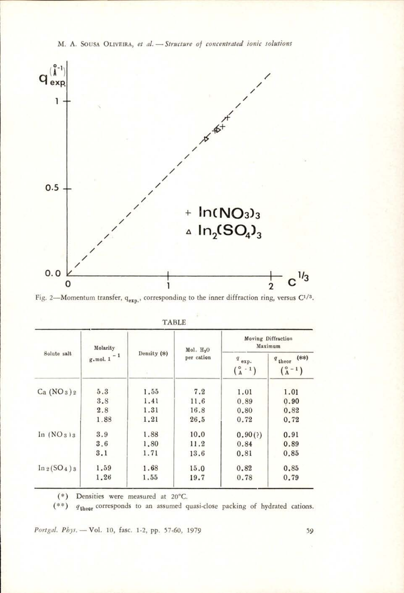

M. A. SOUSA OLIVEIRA, et al. - Structure of concentrated ionic solutions

Fig. 2-Momentum transfer,  $q_{exp}$ , corresponding to the inner diffraction ring, versus  $C^{1/3}$ .

| Solute salt                        | Molarity<br>g.mol. $1 - 1$ | Density (*) | Mol. $H_2O$<br>per cation | Moving Diffraction<br>Maximum           |                                           |
|------------------------------------|----------------------------|-------------|---------------------------|-----------------------------------------|-------------------------------------------|
|                                    |                            |             |                           | $\boldsymbol{q}$ exp.<br>$\binom{8}{4}$ | $q_{\text{theor}}$ (**)<br>$\binom{8}{4}$ |
| Ca (NO <sub>3</sub> ) <sub>2</sub> | 5.3                        | 1.55        | 7.2                       | 1.01                                    | 1.01                                      |
|                                    | 3.8                        | 1.41        | 11.6                      | 0.89                                    | 0.90                                      |
|                                    | 2.8                        | 1.31        | 16.8                      | 0.80                                    | 0.82                                      |
|                                    | 1.88                       | 1.21        | 26.5                      | 0.72                                    | 0.72                                      |
| In $(NO_3)$ s                      | 3.9                        | 1.88        | 10.0                      | 0.90(3)                                 | 0.91                                      |
|                                    | 3.6                        | 1,80        | 11.2                      | 0.84                                    | 0.89                                      |
|                                    | 3.1                        | 1.71        | 13.6                      | 0.81                                    | 0.85                                      |
| $\ln 2(SO_4)$ 3                    | 1.59                       | 1.68        | 15.0                      | 0.82                                    | 0.85                                      |
|                                    | 1.26                       | 1.55        | 19.7                      | 0.78                                    | 0.79                                      |

| TABLE |  |
|-------|--|
|       |  |

(\*) Densities were measured at 20°C.

 $q_{\text{theor}}$  corresponds to an assumed quasi-close packing of hydrated cations.  $(**)$ 

Portgal. Phys. - Vol. 10, fasc. 1-2, pp. 57-60, 1979